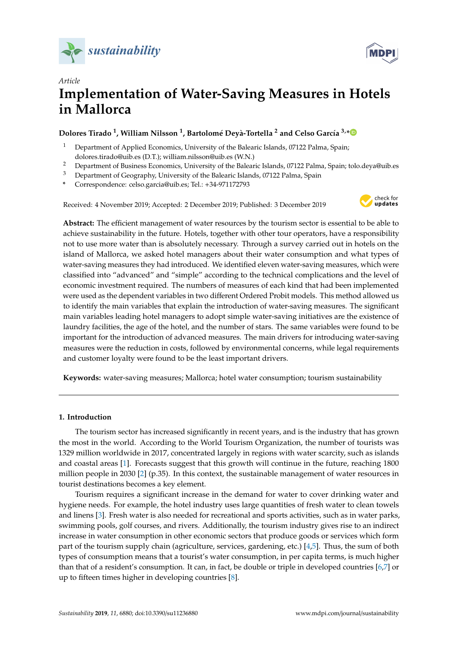



# *Article* **Implementation of Water-Saving Measures in Hotels in Mallorca**

## **Dolores Tirado <sup>1</sup> , William Nilsson <sup>1</sup> , Bartolomé Deyà-Tortella <sup>2</sup> and Celso García 3,[\\*](https://orcid.org/0000-0002-4584-9732)**

- <sup>1</sup> Department of Applied Economics, University of the Balearic Islands, 07122 Palma, Spain; dolores.tirado@uib.es (D.T.); william.nilsson@uib.es (W.N.)
- <sup>2</sup> Department of Business Economics, University of the Balearic Islands, 07122 Palma, Spain; tolo.deva@uib.es
- <sup>3</sup> Department of Geography, University of the Balearic Islands, 07122 Palma, Spain
- **\*** Correspondence: celso.garcia@uib.es; Tel.: +34-971172793

Received: 4 November 2019; Accepted: 2 December 2019; Published: 3 December 2019



**Abstract:** The efficient management of water resources by the tourism sector is essential to be able to achieve sustainability in the future. Hotels, together with other tour operators, have a responsibility not to use more water than is absolutely necessary. Through a survey carried out in hotels on the island of Mallorca, we asked hotel managers about their water consumption and what types of water-saving measures they had introduced. We identified eleven water-saving measures, which were classified into "advanced" and "simple" according to the technical complications and the level of economic investment required. The numbers of measures of each kind that had been implemented were used as the dependent variables in two different Ordered Probit models. This method allowed us to identify the main variables that explain the introduction of water-saving measures. The significant main variables leading hotel managers to adopt simple water-saving initiatives are the existence of laundry facilities, the age of the hotel, and the number of stars. The same variables were found to be important for the introduction of advanced measures. The main drivers for introducing water-saving measures were the reduction in costs, followed by environmental concerns, while legal requirements and customer loyalty were found to be the least important drivers.

**Keywords:** water-saving measures; Mallorca; hotel water consumption; tourism sustainability

### **1. Introduction**

The tourism sector has increased significantly in recent years, and is the industry that has grown the most in the world. According to the World Tourism Organization, the number of tourists was 1329 million worldwide in 2017, concentrated largely in regions with water scarcity, such as islands and coastal areas [\[1\]](#page-10-0). Forecasts suggest that this growth will continue in the future, reaching 1800 million people in 2030 [\[2\]](#page-10-1) (p.35). In this context, the sustainable management of water resources in tourist destinations becomes a key element.

Tourism requires a significant increase in the demand for water to cover drinking water and hygiene needs. For example, the hotel industry uses large quantities of fresh water to clean towels and linens [\[3\]](#page-10-2). Fresh water is also needed for recreational and sports activities, such as in water parks, swimming pools, golf courses, and rivers. Additionally, the tourism industry gives rise to an indirect increase in water consumption in other economic sectors that produce goods or services which form part of the tourism supply chain (agriculture, services, gardening, etc.) [\[4](#page-10-3)[,5\]](#page-10-4). Thus, the sum of both types of consumption means that a tourist's water consumption, in per capita terms, is much higher than that of a resident's consumption. It can, in fact, be double or triple in developed countries [\[6,](#page-10-5)[7\]](#page-11-0) or up to fifteen times higher in developing countries [\[8\]](#page-11-1).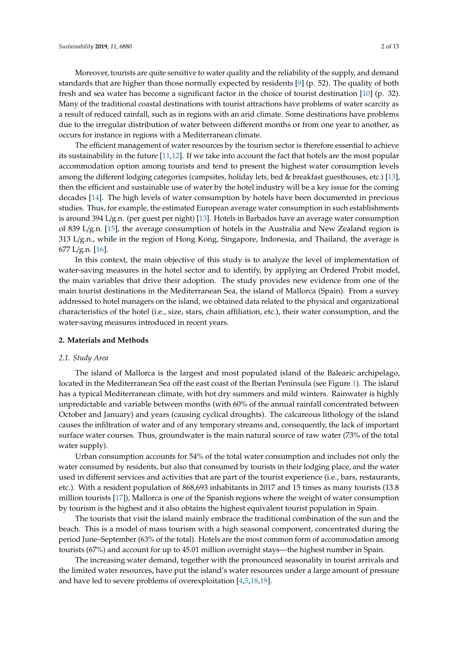occurs for instance in regions with a Mediterranean climate. The efficient management of water resources by the tourism sector is therefore essential to achieve its sustainability in the future [\[11](#page-11-4)[,12\]](#page-11-5). If we take into account the fact that hotels are the most popular accommodation option among tourists and tend to present the highest water consumption levels among the different lodging categories (campsites, holiday lets, bed & breakfast guesthouses, etc.) [\[13\]](#page-11-6), then the efficient and sustainable use of water by the hotel industry will be a key issue for the coming decades [\[14\]](#page-11-7). The high levels of water consumption by hotels have been documented in previous studies. Thus, for example, the estimated European average water consumption in such establishments is around 394 L/g.n. (per guest per night) [\[13\]](#page-11-6). Hotels in Barbados have an average water consumption of 839 L/g.n. [\[15\]](#page-11-8), the average consumption of hotels in the Australia and New Zealand region is 313 L/g.n., while in the region of Hong Kong, Singapore, Indonesia, and Thailand, the average is 677 L/g.n. [\[16\]](#page-11-9).

due to the irregular distribution of water between different months or from one year to another, as

In this context, the main objective of this study is to analyze the level of implementation of water-saving measures in the hotel sector and to identify, by applying an Ordered Probit model, the main variables that drive their adoption. The study provides new evidence from one of the main tourist destinations in the Mediterranean Sea, the island of Mallorca (Spain). From a survey addressed to hotel managers on the island, we obtained data related to the physical and organizational characteristics of the hotel (i.e., size, stars, chain affiliation, etc.), their water consumption, and the water-saving measures introduced in recent years.

#### **2. Materials and Methods**

#### *2.1. Study Area*

The island of Mallorca is the largest and most populated island of the Balearic archipelago, located in the Mediterranean Sea off the east coast of the Iberian Peninsula (see Figure [1\)](#page-2-0). The island has a typical Mediterranean climate, with hot dry summers and mild winters. Rainwater is highly unpredictable and variable between months (with 60% of the annual rainfall concentrated between October and January) and years (causing cyclical droughts). The calcareous lithology of the island causes the infiltration of water and of any temporary streams and, consequently, the lack of important surface water courses. Thus, groundwater is the main natural source of raw water (73% of the total water supply).

Urban consumption accounts for 54% of the total water consumption and includes not only the water consumed by residents, but also that consumed by tourists in their lodging place, and the water used in different services and activities that are part of the tourist experience (i.e., bars, restaurants, etc.). With a resident population of 868,693 inhabitants in 2017 and 15 times as many tourists (13.8 million tourists [\[17\]](#page-11-10)), Mallorca is one of the Spanish regions where the weight of water consumption by tourism is the highest and it also obtains the highest equivalent tourist population in Spain.

The tourists that visit the island mainly embrace the traditional combination of the sun and the beach. This is a model of mass tourism with a high seasonal component, concentrated during the period June–September (63% of the total). Hotels are the most common form of accommodation among tourists (67%) and account for up to 45.01 million overnight stays—the highest number in Spain.

The increasing water demand, together with the pronounced seasonality in tourist arrivals and the limited water resources, have put the island's water resources under a large amount of pressure and have led to severe problems of overexploitation [\[4,](#page-10-3)[5,](#page-10-4)[18,](#page-11-11)[19\]](#page-11-12).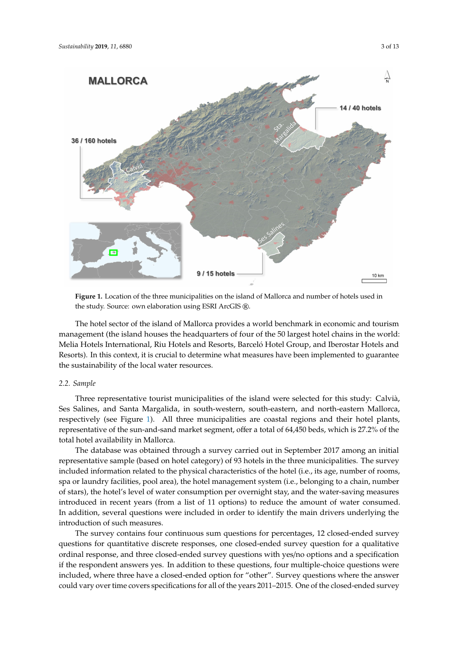<span id="page-2-0"></span>

**Figure 1.** Location of the three municipalities on the island of Mallorca and number of hotels used in the study. Source: own elaboration using ESRI ArcGIS ®.

The hotel sector of the island of Mallorca provides a world benchmark in economic and tourism management (the island houses the headquarters of four of the 50 largest hotel chains in the world: Melia Hotels International, Riu Hotels and Resorts, Barceló Hotel Group, and Iberostar Hotels and Resorts). In this context, it is crucial to determine what measures have been implemented to guarantee the sustainability of the local water resources.

#### *2.2. Sample*

Three representative tourist municipalities of the island were selected for this study: Calvià, Ses Salines, and Santa Margalida, in south-western, south-eastern, and north-eastern Mallorca, respectively (see Figure [1\)](#page-2-0). All three municipalities are coastal regions and their hotel plants, representative of the sun-and-sand market segment, offer a total of 64,450 beds, which is 27.2% of the total hotel availability in Mallorca.

The database was obtained through a survey carried out in September 2017 among an initial representative sample (based on hotel category) of 93 hotels in the three municipalities. The survey included information related to the physical characteristics of the hotel (i.e., its age, number of rooms, spa or laundry facilities, pool area), the hotel management system (i.e., belonging to a chain, number of stars), the hotel's level of water consumption per overnight stay, and the water-saving measures introduced in recent years (from a list of 11 options) to reduce the amount of water consumed. In addition, several questions were included in order to identify the main drivers underlying the introduction of such measures.

The survey contains four continuous sum questions for percentages, 12 closed-ended survey questions for quantitative discrete responses, one closed-ended survey question for a qualitative ordinal response, and three closed-ended survey questions with yes/no options and a specification if the respondent answers yes. In addition to these questions, four multiple-choice questions were included, where three have a closed-ended option for "other". Survey questions where the answer could vary over time covers specifications for all of the years 2011–2015. One of the closed-ended survey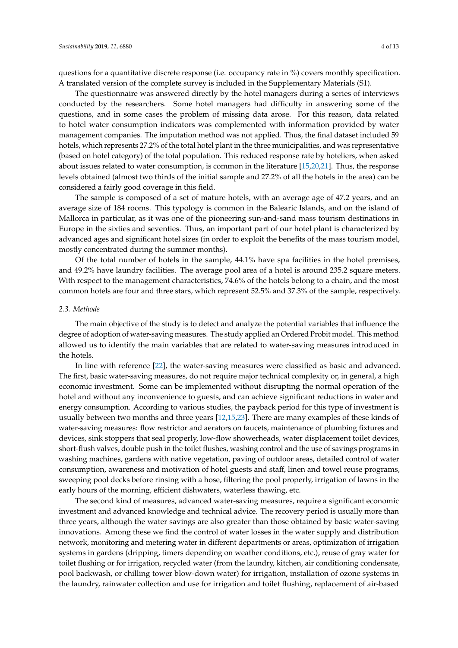questions for a quantitative discrete response (i.e. occupancy rate in %) covers monthly specification. A translated version of the complete survey is included in the Supplementary Materials (S1).

The questionnaire was answered directly by the hotel managers during a series of interviews conducted by the researchers. Some hotel managers had difficulty in answering some of the questions, and in some cases the problem of missing data arose. For this reason, data related to hotel water consumption indicators was complemented with information provided by water management companies. The imputation method was not applied. Thus, the final dataset included 59 hotels, which represents 27.2% of the total hotel plant in the three municipalities, and was representative (based on hotel category) of the total population. This reduced response rate by hoteliers, when asked about issues related to water consumption, is common in the literature [\[15,](#page-11-8)[20,](#page-11-13)[21\]](#page-11-14). Thus, the response levels obtained (almost two thirds of the initial sample and 27.2% of all the hotels in the area) can be considered a fairly good coverage in this field.

The sample is composed of a set of mature hotels, with an average age of 47.2 years, and an average size of 184 rooms. This typology is common in the Balearic Islands, and on the island of Mallorca in particular, as it was one of the pioneering sun-and-sand mass tourism destinations in Europe in the sixties and seventies. Thus, an important part of our hotel plant is characterized by advanced ages and significant hotel sizes (in order to exploit the benefits of the mass tourism model, mostly concentrated during the summer months).

Of the total number of hotels in the sample, 44.1% have spa facilities in the hotel premises, and 49.2% have laundry facilities. The average pool area of a hotel is around 235.2 square meters. With respect to the management characteristics, 74.6% of the hotels belong to a chain, and the most common hotels are four and three stars, which represent 52.5% and 37.3% of the sample, respectively.

#### *2.3. Methods*

The main objective of the study is to detect and analyze the potential variables that influence the degree of adoption of water-saving measures. The study applied an Ordered Probit model. This method allowed us to identify the main variables that are related to water-saving measures introduced in the hotels.

In line with reference [\[22\]](#page-11-15), the water-saving measures were classified as basic and advanced. The first, basic water-saving measures, do not require major technical complexity or, in general, a high economic investment. Some can be implemented without disrupting the normal operation of the hotel and without any inconvenience to guests, and can achieve significant reductions in water and energy consumption. According to various studies, the payback period for this type of investment is usually between two months and three years [\[12](#page-11-5)[,15](#page-11-8)[,23\]](#page-11-16). There are many examples of these kinds of water-saving measures: flow restrictor and aerators on faucets, maintenance of plumbing fixtures and devices, sink stoppers that seal properly, low-flow showerheads, water displacement toilet devices, short-flush valves, double push in the toilet flushes, washing control and the use of savings programs in washing machines, gardens with native vegetation, paving of outdoor areas, detailed control of water consumption, awareness and motivation of hotel guests and staff, linen and towel reuse programs, sweeping pool decks before rinsing with a hose, filtering the pool properly, irrigation of lawns in the early hours of the morning, efficient dishwaters, waterless thawing, etc.

The second kind of measures, advanced water-saving measures, require a significant economic investment and advanced knowledge and technical advice. The recovery period is usually more than three years, although the water savings are also greater than those obtained by basic water-saving innovations. Among these we find the control of water losses in the water supply and distribution network, monitoring and metering water in different departments or areas, optimization of irrigation systems in gardens (dripping, timers depending on weather conditions, etc.), reuse of gray water for toilet flushing or for irrigation, recycled water (from the laundry, kitchen, air conditioning condensate, pool backwash, or chilling tower blow-down water) for irrigation, installation of ozone systems in the laundry, rainwater collection and use for irrigation and toilet flushing, replacement of air-based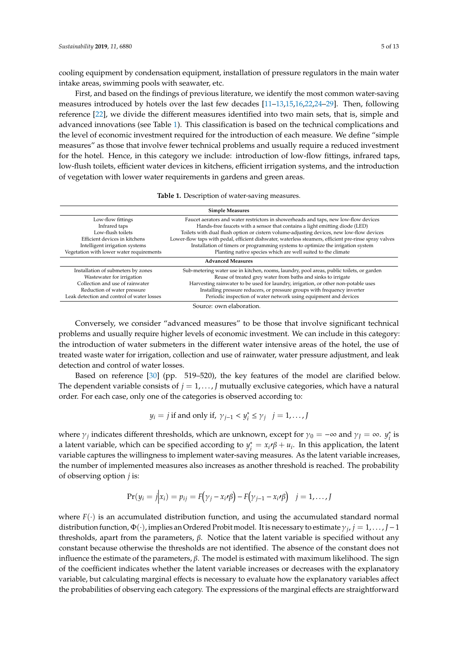cooling equipment by condensation equipment, installation of pressure regulators in the main water intake areas, swimming pools with seawater, etc.

First, and based on the findings of previous literature, we identify the most common water-saving measures introduced by hotels over the last few decades [\[11–](#page-11-4)[13](#page-11-6)[,15](#page-11-8)[,16](#page-11-9)[,22](#page-11-15)[,24–](#page-11-17)[29\]](#page-11-18). Then, following reference [\[22\]](#page-11-15), we divide the different measures identified into two main sets, that is, simple and advanced innovations (see Table [1\)](#page-4-0). This classification is based on the technical complications and the level of economic investment required for the introduction of each measure. We define "simple measures" as those that involve fewer technical problems and usually require a reduced investment for the hotel. Hence, in this category we include: introduction of low-flow fittings, infrared taps, low-flush toilets, efficient water devices in kitchens, efficient irrigation systems, and the introduction of vegetation with lower water requirements in gardens and green areas.

|  | Table 1. Description of water-saving measures. |  |
|--|------------------------------------------------|--|
|  |                                                |  |

<span id="page-4-0"></span>

| <b>Simple Measures</b>                     |                                                                                                       |  |  |  |
|--------------------------------------------|-------------------------------------------------------------------------------------------------------|--|--|--|
| Low-flow fittings                          | Faucet aerators and water restrictors in showerheads and taps, new low-flow devices                   |  |  |  |
| Infrared taps                              | Hands-free faucets with a sensor that contains a light emitting diode (LED)                           |  |  |  |
| Low-flush toilets                          | Toilets with dual flush option or cistern volume-adjusting devices, new low-flow devices              |  |  |  |
| Efficient devices in kitchens              | Lower-flow taps with pedal, efficient dishwater, waterless steamers, efficient pre-rinse spray valves |  |  |  |
| Intelligent irrigation systems             | Installation of timers or programming systems to optimize the irrigation system                       |  |  |  |
| Vegetation with lower water requirements   | Planting native species which are well suited to the climate                                          |  |  |  |
| <b>Advanced Measures</b>                   |                                                                                                       |  |  |  |
| Installation of submeters by zones         | Sub-metering water use in kitchen, rooms, laundry, pool areas, public toilets, or garden              |  |  |  |
| Wastewater for irrigation                  | Reuse of treated grey water from baths and sinks to irrigate                                          |  |  |  |
| Collection and use of rainwater            | Harvesting rainwater to be used for laundry, irrigation, or other non-potable uses                    |  |  |  |
| Reduction of water pressure                | Installing pressure reducers, or pressure groups with frequency inverter                              |  |  |  |
| Leak detection and control of water losses | Periodic inspection of water network using equipment and devices                                      |  |  |  |

Source: own elaboration.

Conversely, we consider "advanced measures" to be those that involve significant technical problems and usually require higher levels of economic investment. We can include in this category: the introduction of water submeters in the different water intensive areas of the hotel, the use of treated waste water for irrigation, collection and use of rainwater, water pressure adjustment, and leak detection and control of water losses.

Based on reference [\[30\]](#page-11-19) (pp. 519–520), the key features of the model are clarified below. The dependent variable consists of  $j = 1, \ldots, J$  mutually exclusive categories, which have a natural order. For each case, only one of the categories is observed according to:

$$
y_i = j
$$
 if and only if,  $\gamma_{j-1} < y_i^* \leq \gamma_j \quad j = 1, \ldots, J$ 

where  $\gamma_j$  indicates different thresholds, which are unknown, except for  $\gamma_0 = -\infty$  and  $\gamma_j = \infty$ .  $y_j^*$  $i^*$  is a latent variable, which can be specified according to *y*<sup>\*</sup><sub>i</sub>  $\alpha_i^* = x_i \cdot \beta + u_i$ . In this application, the latent variable captures the willingness to implement water-saving measures. As the latent variable increases, the number of implemented measures also increases as another threshold is reached. The probability of observing option *j* is:

$$
Pr(y_i = j | x_i) = p_{ij} = F(\gamma_j - x_i \cdot \beta) - F(\gamma_{j-1} - x_i \cdot \beta) \quad j = 1, ..., J
$$

where  $F(\cdot)$  is an accumulated distribution function, and using the accumulated standard normal distribution function, Φ(·), implies an Ordered Probit model. It is necessary to estimate γ*<sup>j</sup>* , *j* = 1, . . . , *J*−1 thresholds, apart from the parameters, β. Notice that the latent variable is specified without any constant because otherwise the thresholds are not identified. The absence of the constant does not influence the estimate of the parameters,  $β$ . The model is estimated with maximum likelihood. The sign of the coefficient indicates whether the latent variable increases or decreases with the explanatory variable, but calculating marginal effects is necessary to evaluate how the explanatory variables affect the probabilities of observing each category. The expressions of the marginal effects are straightforward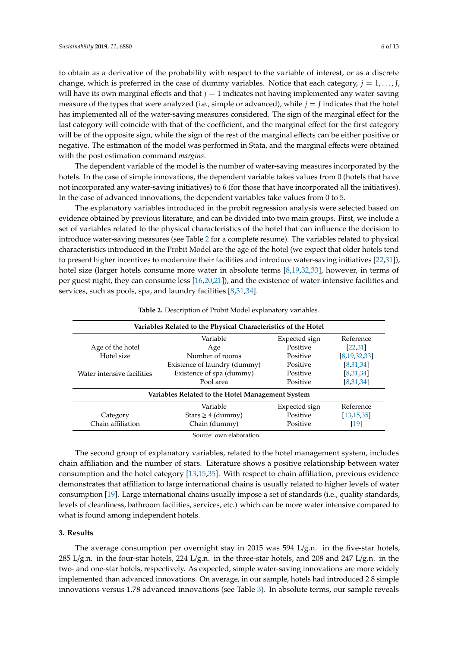to obtain as a derivative of the probability with respect to the variable of interest, or as a discrete change, which is preferred in the case of dummy variables. Notice that each category,  $j = 1, \ldots, J$ , will have its own marginal effects and that *j* = 1 indicates not having implemented any water-saving measure of the types that were analyzed (i.e., simple or advanced), while  $j = J$  indicates that the hotel has implemented all of the water-saving measures considered. The sign of the marginal effect for the last category will coincide with that of the coefficient, and the marginal effect for the first category will be of the opposite sign, while the sign of the rest of the marginal effects can be either positive or negative. The estimation of the model was performed in Stata, and the marginal effects were obtained with the post estimation command *margins*.

The dependent variable of the model is the number of water-saving measures incorporated by the hotels. In the case of simple innovations, the dependent variable takes values from 0 (hotels that have not incorporated any water-saving initiatives) to 6 (for those that have incorporated all the initiatives). In the case of advanced innovations, the dependent variables take values from 0 to 5.

The explanatory variables introduced in the probit regression analysis were selected based on evidence obtained by previous literature, and can be divided into two main groups. First, we include a set of variables related to the physical characteristics of the hotel that can influence the decision to introduce water-saving measures (see Table [2](#page-5-0) for a complete resume). The variables related to physical characteristics introduced in the Probit Model are the age of the hotel (we expect that older hotels tend to present higher incentives to modernize their facilities and introduce water-saving initiatives [\[22,](#page-11-15)[31\]](#page-12-0)), hotel size (larger hotels consume more water in absolute terms [\[8](#page-11-1)[,19](#page-11-12)[,32](#page-12-1)[,33\]](#page-12-2), however, in terms of per guest night, they can consume less [\[16](#page-11-9)[,20](#page-11-13)[,21\]](#page-11-14)), and the existence of water-intensive facilities and services, such as pools, spa, and laundry facilities [\[8,](#page-11-1)[31,](#page-12-0)[34\]](#page-12-3).

<span id="page-5-0"></span>

| Variables Related to the Physical Characteristics of the Hotel |                                                  |               |                    |  |  |  |
|----------------------------------------------------------------|--------------------------------------------------|---------------|--------------------|--|--|--|
|                                                                | Variable                                         | Expected sign | Reference          |  |  |  |
| Age of the hotel                                               | Age                                              | Positive      | [22, 31]           |  |  |  |
| Hotel size                                                     | Number of rooms                                  | Positive      | [8, 19, 32, 33]    |  |  |  |
|                                                                | Existence of laundry (dummy)                     | Positive      | [8,31,34]          |  |  |  |
| Water intensive facilities                                     | Existence of spa (dummy)                         | Positive      | [8,31,34]          |  |  |  |
|                                                                | Pool area                                        | Positive      | [8,31,34]          |  |  |  |
|                                                                | Variables Related to the Hotel Management System |               |                    |  |  |  |
|                                                                | Variable                                         | Expected sign | Reference          |  |  |  |
| Category                                                       | Stars $\geq 4$ (dummy)                           | Positive      | [13, 15, 35]       |  |  |  |
| Chain affiliation                                              | Chain (dummy)                                    | Positive      | $\lceil 19 \rceil$ |  |  |  |

**Table 2.** Description of Probit Model explanatory variables.

The second group of explanatory variables, related to the hotel management system, includes chain affiliation and the number of stars. Literature shows a positive relationship between water consumption and the hotel category [\[13](#page-11-6)[,15](#page-11-8)[,35\]](#page-12-4). With respect to chain affiliation, previous evidence demonstrates that affiliation to large international chains is usually related to higher levels of water consumption [\[19\]](#page-11-12). Large international chains usually impose a set of standards (i.e., quality standards, levels of cleanliness, bathroom facilities, services, etc.) which can be more water intensive compared to what is found among independent hotels.

#### **3. Results**

The average consumption per overnight stay in 2015 was 594 L/g.n. in the five-star hotels, 285 L/g.n. in the four-star hotels, 224 L/g.n. in the three-star hotels, and 208 and 247 L/g.n. in the two- and one-star hotels, respectively. As expected, simple water-saving innovations are more widely implemented than advanced innovations. On average, in our sample, hotels had introduced 2.8 simple innovations versus 1.78 advanced innovations (see Table [3\)](#page-6-0). In absolute terms, our sample reveals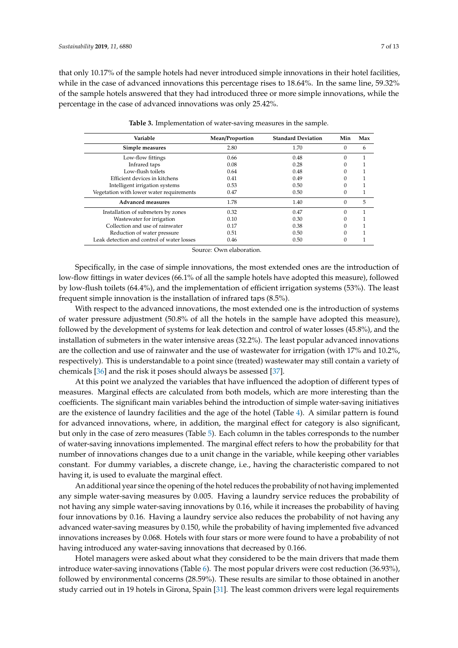that only 10.17% of the sample hotels had never introduced simple innovations in their hotel facilities, while in the case of advanced innovations this percentage rises to 18.64%. In the same line, 59.32% of the sample hotels answered that they had introduced three or more simple innovations, while the percentage in the case of advanced innovations was only 25.42%.

<span id="page-6-0"></span>

| Variable                                   | Mean/Proportion | <b>Standard Deviation</b> | Min      | Max |
|--------------------------------------------|-----------------|---------------------------|----------|-----|
| Simple measures                            | 2.80            | 1.70                      | $\Omega$ | 6   |
| Low-flow fittings                          | 0.66            | 0.48                      | $\Omega$ |     |
| Infrared taps                              | 0.08            | 0.28                      |          |     |
| Low-flush toilets                          | 0.64            | 0.48                      | 0        |     |
| Efficient devices in kitchens              | 0.41            | 0.49                      |          |     |
| Intelligent irrigation systems             | 0.53            | 0.50                      |          |     |
| Vegetation with lower water requirements   | 0.47            | 0.50                      | 0        |     |
| <b>Advanced measures</b>                   | 1.78            | 1.40                      | $\Omega$ | 5   |
| Installation of submeters by zones         | 0.32            | 0.47                      | $\Omega$ |     |
| Wastewater for irrigation                  | 0.10            | 0.30                      | 0        |     |
| Collection and use of rainwater            | 0.17            | 0.38                      |          |     |
| Reduction of water pressure                | 0.51            | 0.50                      |          |     |
| Leak detection and control of water losses | 0.46            | 0.50                      | 0        |     |

**Table 3.** Implementation of water-saving measures in the sample.

Source: Own elaboration.

Specifically, in the case of simple innovations, the most extended ones are the introduction of low-flow fittings in water devices (66.1% of all the sample hotels have adopted this measure), followed by low-flush toilets (64.4%), and the implementation of efficient irrigation systems (53%). The least frequent simple innovation is the installation of infrared taps (8.5%).

With respect to the advanced innovations, the most extended one is the introduction of systems of water pressure adjustment (50.8% of all the hotels in the sample have adopted this measure), followed by the development of systems for leak detection and control of water losses (45.8%), and the installation of submeters in the water intensive areas (32.2%). The least popular advanced innovations are the collection and use of rainwater and the use of wastewater for irrigation (with 17% and 10.2%, respectively). This is understandable to a point since (treated) wastewater may still contain a variety of chemicals [\[36\]](#page-12-5) and the risk it poses should always be assessed [\[37\]](#page-12-6).

At this point we analyzed the variables that have influenced the adoption of different types of measures. Marginal effects are calculated from both models, which are more interesting than the coefficients. The significant main variables behind the introduction of simple water-saving initiatives are the existence of laundry facilities and the age of the hotel (Table [4\)](#page-7-0). A similar pattern is found for advanced innovations, where, in addition, the marginal effect for category is also significant, but only in the case of zero measures (Table [5\)](#page-7-1). Each column in the tables corresponds to the number of water-saving innovations implemented. The marginal effect refers to how the probability for that number of innovations changes due to a unit change in the variable, while keeping other variables constant. For dummy variables, a discrete change, i.e., having the characteristic compared to not having it, is used to evaluate the marginal effect.

An additional year since the opening of the hotel reduces the probability of not having implemented any simple water-saving measures by 0.005. Having a laundry service reduces the probability of not having any simple water-saving innovations by 0.16, while it increases the probability of having four innovations by 0.16. Having a laundry service also reduces the probability of not having any advanced water-saving measures by 0.150, while the probability of having implemented five advanced innovations increases by 0.068. Hotels with four stars or more were found to have a probability of not having introduced any water-saving innovations that decreased by 0.166.

Hotel managers were asked about what they considered to be the main drivers that made them introduce water-saving innovations (Table [6\)](#page-8-0). The most popular drivers were cost reduction (36.93%), followed by environmental concerns (28.59%). These results are similar to those obtained in another study carried out in 19 hotels in Girona, Spain [\[31\]](#page-12-0). The least common drivers were legal requirements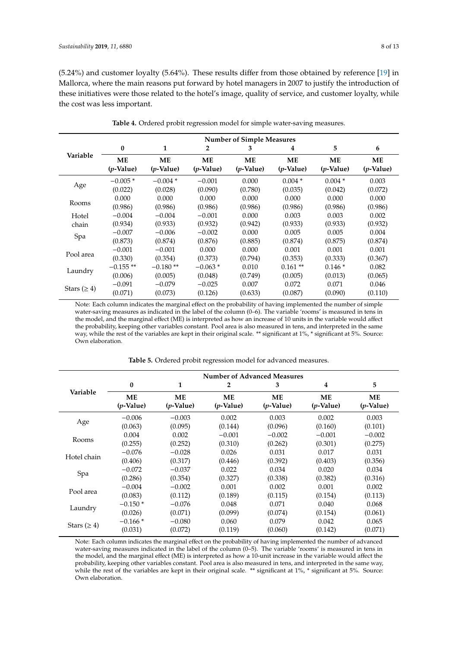(5.24%) and customer loyalty (5.64%). These results differ from those obtained by reference [\[19\]](#page-11-12) in Mallorca, where the main reasons put forward by hotel managers in 2007 to justify the introduction of these initiatives were those related to the hotel's image, quality of service, and customer loyalty, while the cost was less important.

<span id="page-7-0"></span>

| $\bf{0}$                  | 1                               | $\overline{2}$            | 3                         | 4                  | 5                                | 6                  |
|---------------------------|---------------------------------|---------------------------|---------------------------|--------------------|----------------------------------|--------------------|
| <b>ME</b><br>$(p$ -Value) | <b>ME</b><br>$(p\text{-Value})$ | <b>ME</b><br>$(p$ -Value) | <b>ME</b><br>$(p$ -Value) | ME<br>$(p$ -Value) | <b>ME</b><br>$(p\text{-Value})$  | ME<br>$(p$ -Value) |
| $-0.005*$                 | $-0.004*$                       | $-0.001$                  | 0.000                     | $0.004*$           | $0.004*$                         | 0.003              |
| (0.022)                   | (0.028)                         | (0.090)                   | (0.780)                   | (0.035)            | (0.042)                          | (0.072)            |
| 0.000                     | 0.000                           | 0.000                     | 0.000                     | 0.000              | 0.000                            | 0.000              |
| (0.986)                   | (0.986)                         | (0.986)                   | (0.986)                   | (0.986)            | (0.986)                          | (0.986)            |
| $-0.004$                  | $-0.004$                        | $-0.001$                  | 0.000                     | 0.003              | 0.003                            | 0.002              |
| (0.934)                   | (0.933)                         | (0.932)                   | (0.942)                   | (0.933)            | (0.933)                          | (0.932)            |
| $-0.007$                  | $-0.006$                        | $-0.002$                  | 0.000                     | 0.005              | 0.005                            | 0.004              |
| (0.873)                   | (0.874)                         | (0.876)                   | (0.885)                   | (0.874)            | (0.875)                          | (0.874)            |
| $-0.001$                  | $-0.001$                        | 0.000                     | 0.000                     | 0.001              | 0.001                            | 0.001              |
| (0.330)                   | (0.354)                         | (0.373)                   | (0.794)                   | (0.353)            | (0.333)                          | (0.367)            |
| $-0.155**$                | $-0.180**$                      | $-0.063*$                 | 0.010                     | $0.161**$          | $0.146*$                         | 0.082              |
| (0.006)                   | (0.005)                         | (0.048)                   | (0.749)                   | (0.005)            | (0.013)                          | (0.065)            |
| $-0.091$                  | $-0.079$                        | $-0.025$                  | 0.007                     | 0.072              | 0.071                            | 0.046              |
| (0.071)                   | (0.073)                         | (0.126)                   | (0.633)                   | (0.087)            | (0.090)                          | (0.110)            |
|                           |                                 |                           |                           |                    | <b>Number of Simple Measures</b> |                    |

**Table 4.** Ordered probit regression model for simple water-saving measures.

Note: Each column indicates the marginal effect on the probability of having implemented the number of simple water-saving measures as indicated in the label of the column (0–6). The variable 'rooms' is measured in tens in the model, and the marginal effect (ME) is interpreted as how an increase of 10 units in the variable would affect the probability, keeping other variables constant. Pool area is also measured in tens, and interpreted in the same way, while the rest of the variables are kept in their original scale. \*\* significant at 1%, \* significant at 5%. Source: Own elaboration.

<span id="page-7-1"></span>

|                    | <b>Number of Advanced Measures</b> |                                 |                                 |                                 |                                 |                                 |
|--------------------|------------------------------------|---------------------------------|---------------------------------|---------------------------------|---------------------------------|---------------------------------|
| Variable           | $\bf{0}$                           | 1                               | 2                               | 3                               | 4                               | 5                               |
|                    | ME<br>$(p\text{-Value})$           | <b>ME</b><br>$(p\text{-Value})$ | <b>ME</b><br>$(p\text{-Value})$ | <b>ME</b><br>$(p\text{-Value})$ | <b>ME</b><br>$(p\text{-Value})$ | <b>ME</b><br>$(p\text{-Value})$ |
| Age                | $-0.006$                           | $-0.003$                        | 0.002                           | 0.003                           | 0.002                           | 0.003                           |
|                    | (0.063)                            | (0.095)                         | (0.144)                         | (0.096)                         | (0.160)                         | (0.101)                         |
| Rooms              | 0.004                              | 0.002                           | $-0.001$                        | $-0.002$                        | $-0.001$                        | $-0.002$                        |
|                    | (0.255)                            | (0.252)                         | (0.310)                         | (0.262)                         | (0.301)                         | (0.275)                         |
| Hotel chain        | $-0.076$                           | $-0.028$                        | 0.026                           | 0.031                           | 0.017                           | 0.031                           |
|                    | (0.406)                            | (0.317)                         | (0.446)                         | (0.392)                         | (0.403)                         | (0.356)                         |
| Spa                | $-0.072$                           | $-0.037$                        | 0.022                           | 0.034                           | 0.020                           | 0.034                           |
|                    | (0.286)                            | (0.354)                         | (0.327)                         | (0.338)                         | (0.382)                         | (0.316)                         |
| Pool area          | $-0.004$                           | $-0.002$                        | 0.001                           | 0.002                           | 0.001                           | 0.002                           |
|                    | (0.083)                            | (0.112)                         | (0.189)                         | (0.115)                         | (0.154)                         | (0.113)                         |
| Laundry            | $-0.150*$                          | $-0.076$                        | 0.048                           | 0.071                           | 0.040                           | 0.068                           |
|                    | (0.026)                            | (0.071)                         | (0.099)                         | (0.074)                         | (0.154)                         | (0.061)                         |
| Stars ( $\geq 4$ ) | $-0.166*$                          | $-0.080$                        | 0.060                           | 0.079                           | 0.042                           | 0.065                           |
|                    | (0.031)                            | (0.072)                         | (0.119)                         | (0.060)                         | (0.142)                         | (0.071)                         |

**Table 5.** Ordered probit regression model for advanced measures.

Note: Each column indicates the marginal effect on the probability of having implemented the number of advanced water-saving measures indicated in the label of the column (0–5). The variable 'rooms' is measured in tens in the model, and the marginal effect (ME) is interpreted as how a 10-unit increase in the variable would affect the probability, keeping other variables constant. Pool area is also measured in tens, and interpreted in the same way, while the rest of the variables are kept in their original scale. \*\* significant at 1%, \* significant at 5%. Source: Own elaboration.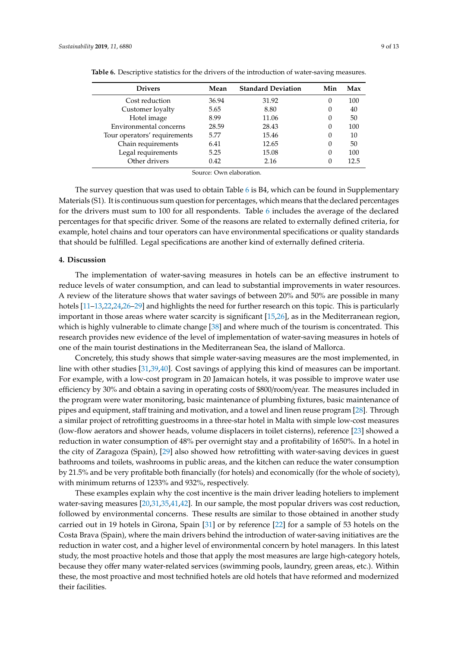| <b>Drivers</b>               | Mean  | <b>Standard Deviation</b> | Min | Max  |
|------------------------------|-------|---------------------------|-----|------|
| Cost reduction               | 36.94 | 31.92                     | 0   | 100  |
| Customer loyalty             | 5.65  | 8.80                      | 0   | 40   |
| Hotel image                  | 8.99  | 11.06                     | O   | 50   |
| Environmental concerns       | 28.59 | 28.43                     | 0   | 100  |
| Tour operators' requirements | 5.77  | 15.46                     | 0   | 10   |
| Chain requirements           | 6.41  | 12.65                     | 0   | 50   |
| Legal requirements           | 5.25  | 15.08                     | 0   | 100  |
| Other drivers                | 0.42  | 2.16                      |     | 12.5 |
|                              |       |                           |     |      |

<span id="page-8-0"></span>**Table 6.** Descriptive statistics for the drivers of the introduction of water-saving measures.

Source: Own elaboration.

The survey question that was used to obtain Table [6](#page-8-0) is B4, which can be found in Supplementary Materials (S1). It is continuous sum question for percentages, which means that the declared percentages for the drivers must sum to 100 for all respondents. Table [6](#page-8-0) includes the average of the declared percentages for that specific driver. Some of the reasons are related to externally defined criteria, for example, hotel chains and tour operators can have environmental specifications or quality standards that should be fulfilled. Legal specifications are another kind of externally defined criteria.

#### **4. Discussion**

The implementation of water-saving measures in hotels can be an effective instrument to reduce levels of water consumption, and can lead to substantial improvements in water resources. A review of the literature shows that water savings of between 20% and 50% are possible in many hotels [\[11–](#page-11-4)[13,](#page-11-6)[22,](#page-11-15)[24,](#page-11-17)[26–](#page-11-20)[29\]](#page-11-18) and highlights the need for further research on this topic. This is particularly important in those areas where water scarcity is significant [\[15](#page-11-8)[,26\]](#page-11-20), as in the Mediterranean region, which is highly vulnerable to climate change [\[38\]](#page-12-7) and where much of the tourism is concentrated. This research provides new evidence of the level of implementation of water-saving measures in hotels of one of the main tourist destinations in the Mediterranean Sea, the island of Mallorca.

Concretely, this study shows that simple water-saving measures are the most implemented, in line with other studies [\[31](#page-12-0)[,39,](#page-12-8)[40\]](#page-12-9). Cost savings of applying this kind of measures can be important. For example, with a low-cost program in 20 Jamaican hotels, it was possible to improve water use efficiency by 30% and obtain a saving in operating costs of \$800/room/year. The measures included in the program were water monitoring, basic maintenance of plumbing fixtures, basic maintenance of pipes and equipment, staff training and motivation, and a towel and linen reuse program [\[28\]](#page-11-21). Through a similar project of retrofitting guestrooms in a three-star hotel in Malta with simple low-cost measures (low-flow aerators and shower heads, volume displacers in toilet cisterns), reference [\[23\]](#page-11-16) showed a reduction in water consumption of 48% per overnight stay and a profitability of 1650%. In a hotel in the city of Zaragoza (Spain), [\[29\]](#page-11-18) also showed how retrofitting with water-saving devices in guest bathrooms and toilets, washrooms in public areas, and the kitchen can reduce the water consumption by 21.5% and be very profitable both financially (for hotels) and economically (for the whole of society), with minimum returns of 1233% and 932%, respectively.

These examples explain why the cost incentive is the main driver leading hoteliers to implement water-saving measures [\[20,](#page-11-13)[31,](#page-12-0)[35,](#page-12-4)[41,](#page-12-10)[42\]](#page-12-11). In our sample, the most popular drivers was cost reduction, followed by environmental concerns. These results are similar to those obtained in another study carried out in 19 hotels in Girona, Spain [\[31\]](#page-12-0) or by reference [\[22\]](#page-11-15) for a sample of 53 hotels on the Costa Brava (Spain), where the main drivers behind the introduction of water-saving initiatives are the reduction in water cost, and a higher level of environmental concern by hotel managers. In this latest study, the most proactive hotels and those that apply the most measures are large high-category hotels, because they offer many water-related services (swimming pools, laundry, green areas, etc.). Within these, the most proactive and most technified hotels are old hotels that have reformed and modernized their facilities.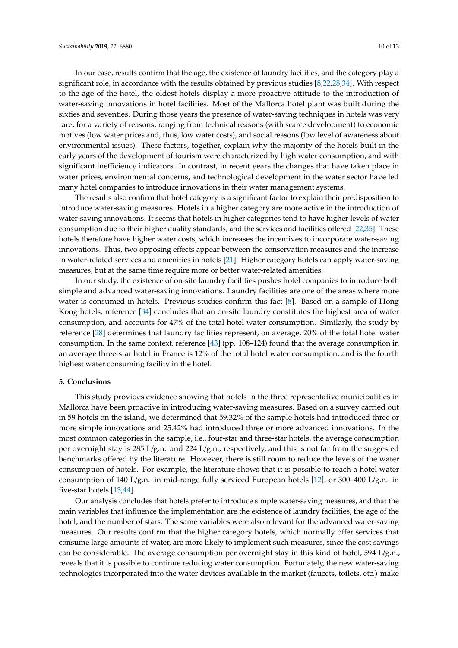In our case, results confirm that the age, the existence of laundry facilities, and the category play a significant role, in accordance with the results obtained by previous studies [\[8,](#page-11-1)[22](#page-11-15)[,28,](#page-11-21)[34\]](#page-12-3). With respect to the age of the hotel, the oldest hotels display a more proactive attitude to the introduction of water-saving innovations in hotel facilities. Most of the Mallorca hotel plant was built during the sixties and seventies. During those years the presence of water-saving techniques in hotels was very rare, for a variety of reasons, ranging from technical reasons (with scarce development) to economic motives (low water prices and, thus, low water costs), and social reasons (low level of awareness about environmental issues). These factors, together, explain why the majority of the hotels built in the early years of the development of tourism were characterized by high water consumption, and with significant inefficiency indicators. In contrast, in recent years the changes that have taken place in water prices, environmental concerns, and technological development in the water sector have led many hotel companies to introduce innovations in their water management systems.

The results also confirm that hotel category is a significant factor to explain their predisposition to introduce water-saving measures. Hotels in a higher category are more active in the introduction of water-saving innovations. It seems that hotels in higher categories tend to have higher levels of water consumption due to their higher quality standards, and the services and facilities offered [\[22,](#page-11-15)[35\]](#page-12-4). These hotels therefore have higher water costs, which increases the incentives to incorporate water-saving innovations. Thus, two opposing effects appear between the conservation measures and the increase in water-related services and amenities in hotels [\[21\]](#page-11-14). Higher category hotels can apply water-saving measures, but at the same time require more or better water-related amenities.

In our study, the existence of on-site laundry facilities pushes hotel companies to introduce both simple and advanced water-saving innovations. Laundry facilities are one of the areas where more water is consumed in hotels. Previous studies confirm this fact [\[8\]](#page-11-1). Based on a sample of Hong Kong hotels, reference [\[34\]](#page-12-3) concludes that an on-site laundry constitutes the highest area of water consumption, and accounts for 47% of the total hotel water consumption. Similarly, the study by reference [\[28\]](#page-11-21) determines that laundry facilities represent, on average, 20% of the total hotel water consumption. In the same context, reference [\[43\]](#page-12-12) (pp. 108–124) found that the average consumption in an average three-star hotel in France is 12% of the total hotel water consumption, and is the fourth highest water consuming facility in the hotel.

#### **5. Conclusions**

This study provides evidence showing that hotels in the three representative municipalities in Mallorca have been proactive in introducing water-saving measures. Based on a survey carried out in 59 hotels on the island, we determined that 59.32% of the sample hotels had introduced three or more simple innovations and 25.42% had introduced three or more advanced innovations. In the most common categories in the sample, i.e., four-star and three-star hotels, the average consumption per overnight stay is 285 L/g.n. and 224 L/g.n., respectively, and this is not far from the suggested benchmarks offered by the literature. However, there is still room to reduce the levels of the water consumption of hotels. For example, the literature shows that it is possible to reach a hotel water consumption of 140 L/g.n. in mid-range fully serviced European hotels [\[12\]](#page-11-5), or 300–400 L/g.n. in five-star hotels [\[13](#page-11-6)[,44\]](#page-12-13).

Our analysis concludes that hotels prefer to introduce simple water-saving measures, and that the main variables that influence the implementation are the existence of laundry facilities, the age of the hotel, and the number of stars. The same variables were also relevant for the advanced water-saving measures. Our results confirm that the higher category hotels, which normally offer services that consume large amounts of water, are more likely to implement such measures, since the cost savings can be considerable. The average consumption per overnight stay in this kind of hotel, 594  $L/g.n.$ reveals that it is possible to continue reducing water consumption. Fortunately, the new water-saving technologies incorporated into the water devices available in the market (faucets, toilets, etc.) make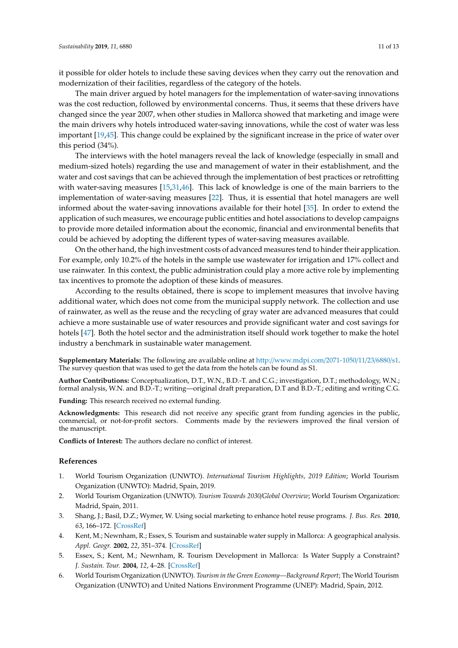it possible for older hotels to include these saving devices when they carry out the renovation and modernization of their facilities, regardless of the category of the hotels.

The main driver argued by hotel managers for the implementation of water-saving innovations was the cost reduction, followed by environmental concerns. Thus, it seems that these drivers have changed since the year 2007, when other studies in Mallorca showed that marketing and image were the main drivers why hotels introduced water-saving innovations, while the cost of water was less important [\[19,](#page-11-12)[45\]](#page-12-14). This change could be explained by the significant increase in the price of water over this period (34%).

The interviews with the hotel managers reveal the lack of knowledge (especially in small and medium-sized hotels) regarding the use and management of water in their establishment, and the water and cost savings that can be achieved through the implementation of best practices or retrofitting with water-saving measures [\[15,](#page-11-8)[31,](#page-12-0)[46\]](#page-12-15). This lack of knowledge is one of the main barriers to the implementation of water-saving measures [\[22\]](#page-11-15). Thus, it is essential that hotel managers are well informed about the water-saving innovations available for their hotel [\[35\]](#page-12-4). In order to extend the application of such measures, we encourage public entities and hotel associations to develop campaigns to provide more detailed information about the economic, financial and environmental benefits that could be achieved by adopting the different types of water-saving measures available.

On the other hand, the high investment costs of advanced measures tend to hinder their application. For example, only 10.2% of the hotels in the sample use wastewater for irrigation and 17% collect and use rainwater. In this context, the public administration could play a more active role by implementing tax incentives to promote the adoption of these kinds of measures.

According to the results obtained, there is scope to implement measures that involve having additional water, which does not come from the municipal supply network. The collection and use of rainwater, as well as the reuse and the recycling of gray water are advanced measures that could achieve a more sustainable use of water resources and provide significant water and cost savings for hotels [\[47\]](#page-12-16). Both the hotel sector and the administration itself should work together to make the hotel industry a benchmark in sustainable water management.

**Supplementary Materials:** The following are available online at http://[www.mdpi.com](http://www.mdpi.com/2071-1050/11/23/6880/s1)/2071-1050/11/23/6880/s1. The survey question that was used to get the data from the hotels can be found as S1.

**Author Contributions:** Conceptualization, D.T., W.N., B.D.-T. and C.G.; investigation, D.T.; methodology, W.N.; formal analysis, W.N. and B.D.-T.; writing—original draft preparation, D.T and B.D.-T.; editing and writing C.G.

**Funding:** This research received no external funding.

**Acknowledgments:** This research did not receive any specific grant from funding agencies in the public, commercial, or not-for-profit sectors. Comments made by the reviewers improved the final version of the manuscript.

**Conflicts of Interest:** The authors declare no conflict of interest.

#### **References**

- <span id="page-10-0"></span>1. World Tourism Organization (UNWTO). *International Tourism Highlights, 2019 Edition*; World Tourism Organization (UNWTO): Madrid, Spain, 2019.
- <span id="page-10-1"></span>2. World Tourism Organization (UNWTO). *Tourism Towards 2030*/*Global Overview*; World Tourism Organization: Madrid, Spain, 2011.
- <span id="page-10-2"></span>3. Shang, J.; Basil, D.Z.; Wymer, W. Using social marketing to enhance hotel reuse programs. *J. Bus. Res.* **2010**, *63*, 166–172. [\[CrossRef\]](http://dx.doi.org/10.1016/j.jbusres.2009.02.012)
- <span id="page-10-3"></span>4. Kent, M.; Newnham, R.; Essex, S. Tourism and sustainable water supply in Mallorca: A geographical analysis. *Appl. Geogr.* **2002**, *22*, 351–374. [\[CrossRef\]](http://dx.doi.org/10.1016/S0143-6228(02)00050-4)
- <span id="page-10-4"></span>5. Essex, S.; Kent, M.; Newnham, R. Tourism Development in Mallorca: Is Water Supply a Constraint? *J. Sustain. Tour.* **2004**, *12*, 4–28. [\[CrossRef\]](http://dx.doi.org/10.1080/09669580408667222)
- <span id="page-10-5"></span>6. World Tourism Organization (UNWTO). *Tourism in the Green Economy—Background Report*; The World Tourism Organization (UNWTO) and United Nations Environment Programme (UNEP): Madrid, Spain, 2012.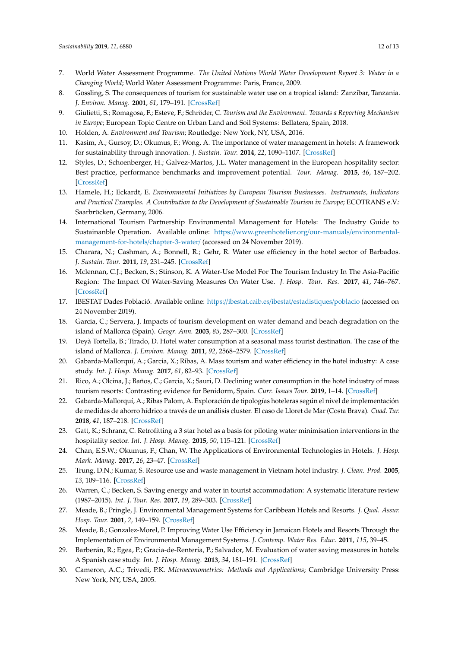- <span id="page-11-0"></span>7. World Water Assessment Programme. *The United Nations World Water Development Report 3: Water in a Changing World*; World Water Assessment Programme: Paris, France, 2009.
- <span id="page-11-1"></span>8. Gössling, S. The consequences of tourism for sustainable water use on a tropical island: Zanzibar, Tanzania. *J. Environ. Manag.* **2001**, *61*, 179–191. [\[CrossRef\]](http://dx.doi.org/10.1006/jema.2000.0403)
- <span id="page-11-2"></span>9. Giulietti, S.; Romagosa, F.; Esteve, F.; Schröder, C. *Tourism and the Environment. Towards a Reporting Mechanism in Europe*; European Topic Centre on Urban Land and Soil Systems: Bellatera, Spain, 2018.
- <span id="page-11-3"></span>10. Holden, A. *Environment and Tourism*; Routledge: New York, NY, USA, 2016.
- <span id="page-11-4"></span>11. Kasim, A.; Gursoy, D.; Okumus, F.; Wong, A. The importance of water management in hotels: A framework for sustainability through innovation. *J. Sustain. Tour.* **2014**, *22*, 1090–1107. [\[CrossRef\]](http://dx.doi.org/10.1080/09669582.2013.873444)
- <span id="page-11-5"></span>12. Styles, D.; Schoenberger, H.; Galvez-Martos, J.L. Water management in the European hospitality sector: Best practice, performance benchmarks and improvement potential. *Tour. Manag.* **2015**, *46*, 187–202. [\[CrossRef\]](http://dx.doi.org/10.1016/j.tourman.2014.07.005)
- <span id="page-11-6"></span>13. Hamele, H.; Eckardt, E. *Environmental Initiatives by European Tourism Businesses. Instruments, Indicators* and Practical Examples. A Contribution to the Development of Sustainable Tourism in Europe; ECOTRANS e.V.: Saarbrücken, Germany, 2006.
- <span id="page-11-7"></span>14. International Tourism Partnership Environmental Management for Hotels: The Industry Guide to Sustainanble Operation. Available online: https://[www.greenhotelier.org](https://www.greenhotelier.org/our-manuals/environmental-management-for-hotels/chapter-3-water/)/our-manuals/environmental[management-for-hotels](https://www.greenhotelier.org/our-manuals/environmental-management-for-hotels/chapter-3-water/)/chapter-3-water/ (accessed on 24 November 2019).
- <span id="page-11-8"></span>15. Charara, N.; Cashman, A.; Bonnell, R.; Gehr, R. Water use efficiency in the hotel sector of Barbados. *J. Sustain. Tour.* **2011**, *19*, 231–245. [\[CrossRef\]](http://dx.doi.org/10.1080/09669582.2010.502577)
- <span id="page-11-9"></span>16. Mclennan, C.J.; Becken, S.; Stinson, K. A Water-Use Model For The Tourism Industry In The Asia-Pacific Region: The Impact Of Water-Saving Measures On Water Use. *J. Hosp. Tour. Res.* **2017**, *41*, 746–767. [\[CrossRef\]](http://dx.doi.org/10.1177/1096348014550868)
- <span id="page-11-10"></span>17. IBESTAT Dades Població. Available online: https://[ibestat.caib.es](https://ibestat.caib.es/ibestat/estadistiques/poblacio)/ibestat/estadistiques/poblacio (accessed on 24 November 2019).
- <span id="page-11-11"></span>18. Garcia, C.; Servera, J. Impacts of tourism development on water demand and beach degradation on the island of Mallorca (Spain). *Geogr. Ann.* **2003**, *85*, 287–300. [\[CrossRef\]](http://dx.doi.org/10.1111/j.0435-3676.2003.00206.x)
- <span id="page-11-12"></span>19. Deyà Tortella, B.; Tirado, D. Hotel water consumption at a seasonal mass tourist destination. The case of the island of Mallorca. *J. Environ. Manag.* **2011**, *92*, 2568–2579. [\[CrossRef\]](http://dx.doi.org/10.1016/j.jenvman.2011.05.024)
- <span id="page-11-13"></span>20. Gabarda-Mallorquí, A.; Garcia, X.; Ribas, A. Mass tourism and water efficiency in the hotel industry: A case study. *Int. J. Hosp. Manag.* **2017**, *61*, 82–93. [\[CrossRef\]](http://dx.doi.org/10.1016/j.ijhm.2016.11.006)
- <span id="page-11-14"></span>21. Rico, A.; Olcina, J.; Baños, C.; Garcia, X.; Sauri, D. Declining water consumption in the hotel industry of mass tourism resorts: Contrasting evidence for Benidorm, Spain. *Curr. Issues Tour.* **2019**, 1–14. [\[CrossRef\]](http://dx.doi.org/10.1080/13683500.2019.1589431)
- <span id="page-11-15"></span>22. Gabarda-Mallorquí, A.; Ribas Palom, A. Exploración de tipologías hoteleras según el nivel de implementación de medidas de ahorro hídrico a través de un análisis cluster. El caso de Lloret de Mar (Costa Brava). *Cuad. Tur.* **2018**, *41*, 187–218. [\[CrossRef\]](http://dx.doi.org/10.6018/turismo.41.327001)
- <span id="page-11-16"></span>23. Gatt, K.; Schranz, C. Retrofitting a 3 star hotel as a basis for piloting water minimisation interventions in the hospitality sector. *Int. J. Hosp. Manag.* **2015**, *50*, 115–121. [\[CrossRef\]](http://dx.doi.org/10.1016/j.ijhm.2015.06.008)
- <span id="page-11-17"></span>24. Chan, E.S.W.; Okumus, F.; Chan, W. The Applications of Environmental Technologies in Hotels. *J. Hosp. Mark. Manag.* **2017**, *26*, 23–47. [\[CrossRef\]](http://dx.doi.org/10.1080/19368623.2016.1176975)
- 25. Trung, D.N.; Kumar, S. Resource use and waste management in Vietnam hotel industry. *J. Clean. Prod.* **2005**, *13*, 109–116. [\[CrossRef\]](http://dx.doi.org/10.1016/j.jclepro.2003.12.014)
- <span id="page-11-20"></span>26. Warren, C.; Becken, S. Saving energy and water in tourist accommodation: A systematic literature review (1987–2015). *Int. J. Tour. Res.* **2017**, *19*, 289–303. [\[CrossRef\]](http://dx.doi.org/10.1002/jtr.2112)
- 27. Meade, B.; Pringle, J. Environmental Management Systems for Caribbean Hotels and Resorts. *J. Qual. Assur. Hosp. Tour.* **2001**, *2*, 149–159. [\[CrossRef\]](http://dx.doi.org/10.1300/J162v02n03_09)
- <span id="page-11-21"></span>28. Meade, B.; Gonzalez-Morel, P. Improving Water Use Efficiency in Jamaican Hotels and Resorts Through the Implementation of Environmental Management Systems. *J. Contemp. Water Res. Educ.* **2011**, *115*, 39–45.
- <span id="page-11-18"></span>29. Barberán, R.; Egea, P.; Gracia-de-Rentería, P.; Salvador, M. Evaluation of water saving measures in hotels: A Spanish case study. *Int. J. Hosp. Manag.* **2013**, *34*, 181–191. [\[CrossRef\]](http://dx.doi.org/10.1016/j.ijhm.2013.02.005)
- <span id="page-11-19"></span>30. Cameron, A.C.; Trivedi, P.K. *Microeconometrics: Methods and Applications*; Cambridge University Press: New York, NY, USA, 2005.